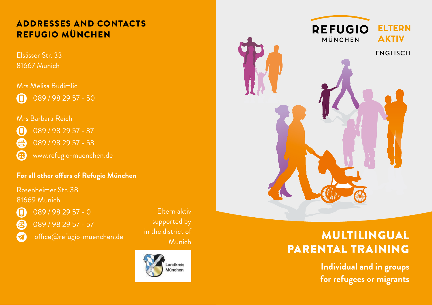# REFUGIO MÜNCHEN

Elsässer Str. 33 81667 Munich

Mrs Melisa Budimlic 089 / 98 29 57 - 50 A

#### Mrs Barbara Reich

089 / 98 29 57 - 37 O 089 / 98 29 57 - 53 倶

ങ www.refugio-muenchen.de

#### **For all other offers of Refugio München**

Rosenheimer Str. 38 81669 Munich

Ω 倡

089 / 98 29 57 - 0 089 / 98 29 57 - 57

office@refugio-muenchen.de

Eltern aktiv supported by in the district of





# Istrict of **MULTILINGUAL** parental training

**Individual and in groups for refugees or migrants**